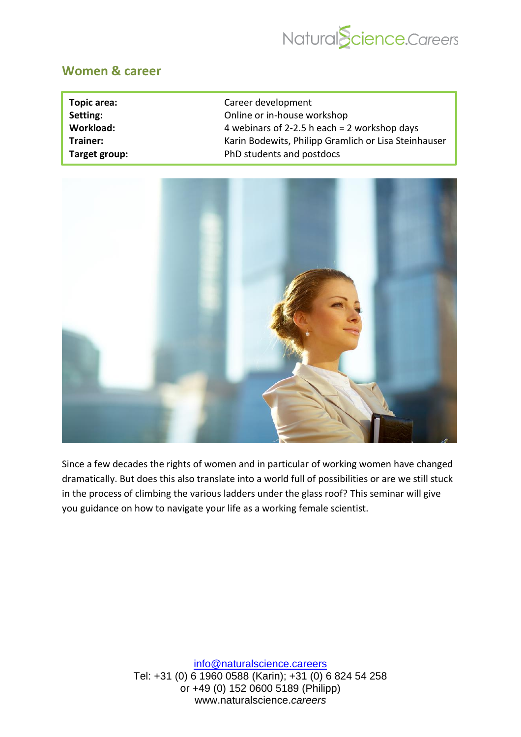

## **Women & career**

| Topic area:   | Career development                                   |
|---------------|------------------------------------------------------|
| Setting:      | Online or in-house workshop                          |
| Workload:     | 4 webinars of 2-2.5 h each $= 2$ workshop days       |
| Trainer:      | Karin Bodewits, Philipp Gramlich or Lisa Steinhauser |
| Target group: | PhD students and postdocs                            |



Since a few decades the rights of women and in particular of working women have changed dramatically. But does this also translate into a world full of possibilities or are we still stuck in the process of climbing the various ladders under the glass roof? This seminar will give you guidance on how to navigate your life as a working female scientist.

> [info@naturalscience.careers](mailto:academy@naturalscience.careers) Tel: +31 (0) 6 1960 0588 (Karin); +31 (0) 6 824 54 258 or +49 (0) 152 0600 5189 (Philipp) www.naturalscience.*careers*